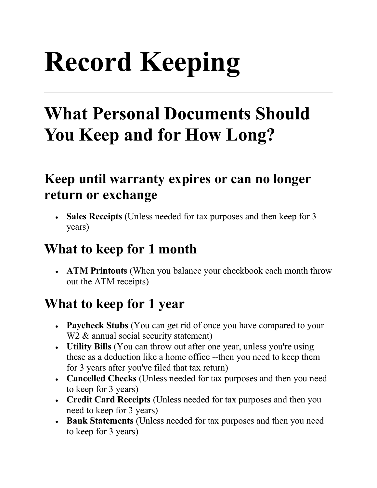# **Record Keeping**

## **What Personal Documents Should You Keep and for How Long?**

#### **Keep until warranty expires or can no longer return or exchange**

• **Sales Receipts** (Unless needed for tax purposes and then keep for 3 years)

#### **What to keep for 1 month**

• **ATM Printouts** (When you balance your checkbook each month throw out the ATM receipts)

#### **What to keep for 1 year**

- **Paycheck Stubs** (You can get rid of once you have compared to your W<sub>2</sub> & annual social security statement)
- **Utility Bills** (You can throw out after one year, unless you're using these as a deduction like a home office --then you need to keep them for 3 years after you've filed that tax return)
- **Cancelled Checks** (Unless needed for tax purposes and then you need to keep for 3 years)
- **Credit Card Receipts** (Unless needed for tax purposes and then you need to keep for 3 years)
- **Bank Statements** (Unless needed for tax purposes and then you need to keep for 3 years)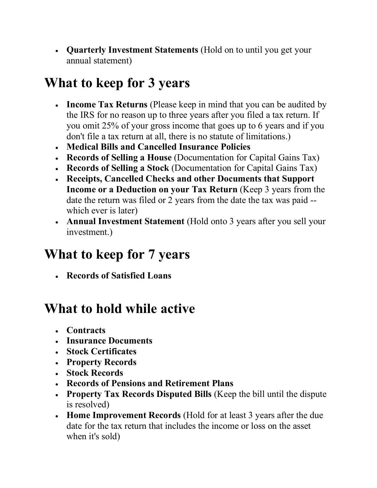• **Quarterly Investment Statements** (Hold on to until you get your annual statement)

#### **What to keep for 3 years**

- **Income Tax Returns** (Please keep in mind that you can be audited by the IRS for no reason up to three years after you filed a tax return. If you omit 25% of your gross income that goes up to 6 years and if you don't file a tax return at all, there is no statute of limitations.)
- **Medical Bills and Cancelled Insurance Policies**
- **Records of Selling a House** (Documentation for Capital Gains Tax)
- **Records of Selling a Stock** (Documentation for Capital Gains Tax)
- **Receipts, Cancelled Checks and other Documents that Support Income or a Deduction on your Tax Return** (Keep 3 years from the date the return was filed or 2 years from the date the tax was paid - which ever is later)
- **Annual Investment Statement** (Hold onto 3 years after you sell your investment.)

#### **What to keep for 7 years**

• **Records of Satisfied Loans**

#### **What to hold while active**

- **Contracts**
- **Insurance Documents**
- **Stock Certificates**
- **Property Records**
- **Stock Records**
- **Records of Pensions and Retirement Plans**
- **Property Tax Records Disputed Bills** (Keep the bill until the dispute is resolved)
- **Home Improvement Records** (Hold for at least 3 years after the due date for the tax return that includes the income or loss on the asset when it's sold)